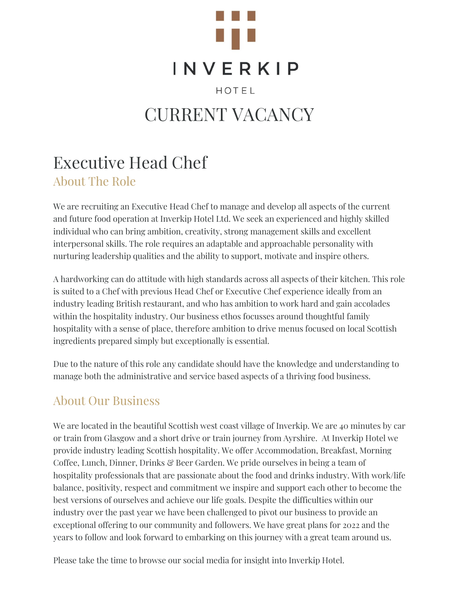

# **INVERKIP**

HOTEL

# CURRENT VACANCY

# Executive Head Chef

About The Role

We are recruiting an Executive Head Chef to manage and develop all aspects of the current and future food operation at Inverkip Hotel Ltd. We seek an experienced and highly skilled individual who can bring ambition, creativity, strong management skills and excellent interpersonal skills. The role requires an adaptable and approachable personality with nurturing leadership qualities and the ability to support, motivate and inspire others.

A hardworking can do attitude with high standards across all aspects of their kitchen. This role is suited to a Chef with previous Head Chef or Executive Chef experience ideally from an industry leading British restaurant, and who has ambition to work hard and gain accolades within the hospitality industry. Our business ethos focusses around thoughtful family hospitality with a sense of place, therefore ambition to drive menus focused on local Scottish ingredients prepared simply but exceptionally is essential.

Due to the nature of this role any candidate should have the knowledge and understanding to manage both the administrative and service based aspects of a thriving food business.

## About Our Business

We are located in the beautiful Scottish west coast village of Inverkip. We are 40 minutes by car or train from Glasgow and a short drive or train journey from Ayrshire. At Inverkip Hotel we provide industry leading Scottish hospitality. We offer Accommodation, Breakfast, Morning Coffee, Lunch, Dinner, Drinks & Beer Garden. We pride ourselves in being a team of hospitality professionals that are passionate about the food and drinks industry. With work/life balance, positivity, respect and commitment we inspire and support each other to become the best versions of ourselves and achieve our life goals. Despite the difficulties within our industry over the past year we have been challenged to pivot our business to provide an exceptional offering to our community and followers. We have great plans for 2022 and the years to follow and look forward to embarking on this journey with a great team around us.

Please take the time to browse our social media for insight into Inverkip Hotel.